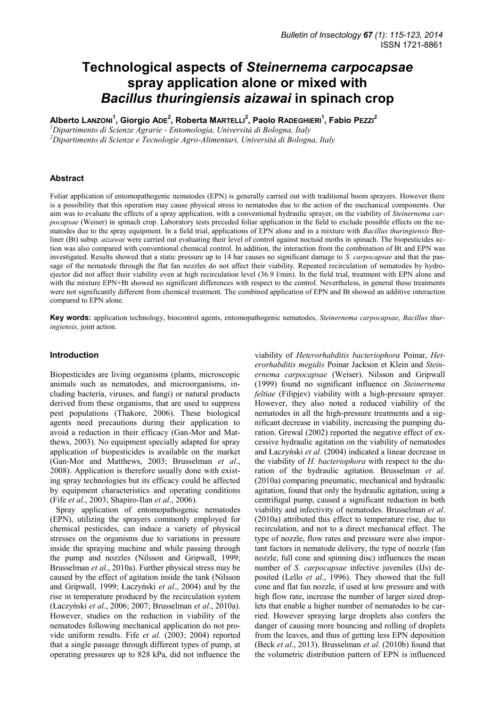# **Technological aspects of** *Steinernema carpocapsae*  **spray application alone or mixed with**  *Bacillus thuringiensis aizawai* **in spinach crop**

**Alberto LANZONI<sup>1</sup> , Giorgio ADE<sup>2</sup> , Roberta MARTELLI<sup>2</sup> , Paolo RADEGHIERI<sup>1</sup> , Fabio PEZZI<sup>2</sup>**

*<sup>1</sup>Dipartimento di Scienze Agrarie - Entomologia, Università di Bologna, Italy <sup>2</sup>Dipartimento di Scienze e Tecnologie Agro-Alimentari, Università di Bologna, Italy* 

### **Abstract**

Foliar application of entomopathogenic nematodes (EPN) is generally carried out with traditional boom sprayers. However there is a possibility that this operation may cause physical stress to nematodes due to the action of the mechanical components. Our aim was to evaluate the effects of a spray application, with a conventional hydraulic sprayer, on the viability of *Steinernema carpocapsae* (Weiser) in spinach crop. Laboratory tests preceded foliar application in the field to exclude possible effects on the nematodes due to the spray equipment. In a field trial, applications of EPN alone and in a mixture with *Bacillus thuringiensis* Berliner (Bt) subsp. *aizawai* were carried out evaluating their level of control against noctuid moths in spinach. The biopesticides action was also compared with conventional chemical control. In addition, the interaction from the combination of Bt and EPN was investigated. Results showed that a static pressure up to 14 bar causes no significant damage to *S. carpocapsae* and that the passage of the nematode through the flat fan nozzles do not affect their viability. Repeated recirculation of nematodes by hydroejector did not affect their viability even at high recirculation level (36.9 l/min). In the field trial, treatment with EPN alone and with the mixture EPN+Bt showed no significant differences with respect to the control. Nevertheless, in general these treatments were not significantly different from chemical treatment. The combined application of EPN and Bt showed an additive interaction compared to EPN alone.

**Key words:** application technology, biocontrol agents, entomopathogenic nematodes, *Steinernema carpocapsae*, *Bacillus thuringiensis*, joint action.

#### **Introduction**

Biopesticides are living organisms (plants, microscopic animals such as nematodes, and microorganisms, including bacteria, viruses, and fungi) or natural products derived from these organisms, that are used to suppress pest populations (Thakore, 2006). These biological agents need precautions during their application to avoid a reduction in their efficacy (Gan-Mor and Matthews, 2003). No equipment specially adapted for spray application of biopesticides is available on the market (Gan-Mor and Matthews, 2003; Brusselman *et al*., 2008). Application is therefore usually done with existing spray technologies but its efficacy could be affected by equipment characteristics and operating conditions (Fife *et al*., 2003; Shapiro-Ilan *et al*., 2006).

Spray application of entomopathogenic nematodes (EPN), utilizing the sprayers commonly employed for chemical pesticides, can induce a variety of physical stresses on the organisms due to variations in pressure inside the spraying machine and while passing through the pump and nozzles (Nilsson and Gripwall, 1999; Brusselman *et al*., 2010a). Further physical stress may be caused by the effect of agitation inside the tank (Nilsson and Gripwall, 1999; Łaczyński *et al*., 2004) and by the rise in temperature produced by the recirculation system (Łaczyński *et al*., 2006; 2007; Brusselman *et al*., 2010a). However, studies on the reduction in viability of the nematodes following mechanical application do not provide uniform results. Fife *et al*. (2003; 2004) reported that a single passage through different types of pump, at operating pressures up to 828 kPa, did not influence the

viability of *Heterorhabditis bacteriophora* Poinar, *Heterorhabditis megidis* Poinar Jackson et Klein and *Steinernema carpocapsae* (Weiser). Nilsson and Gripwall (1999) found no significant influence on *Steinernema feltiae* (Filipjev) viability with a high-pressure sprayer. However, they also noted a reduced viability of the nematodes in all the high-pressure treatments and a significant decrease in viability, increasing the pumping duration. Grewal (2002) reported the negative effect of excessive hydraulic agitation on the viability of nematodes and Łaczyński *et al*. (2004) indicated a linear decrease in the viability of *H. bacteriophora* with respect to the duration of the hydraulic agitation. Brusselman *et al*. (2010a) comparing pneumatic, mechanical and hydraulic agitation, found that only the hydraulic agitation, using a centrifugal pump, caused a significant reduction in both viability and infectivity of nematodes. Brusselman *et al*. (2010a) attributed this effect to temperature rise, due to recirculation, and not to a direct mechanical effect. The type of nozzle, flow rates and pressure were also important factors in nematode delivery, the type of nozzle (fan nozzle, full cone and spinning disc) influences the mean number of *S. carpocapsae* infective juveniles (IJs) deposited (Lello *et al*., 1996). They showed that the full cone and flat fan nozzle, if used at low pressure and with high flow rate, increase the number of larger sized droplets that enable a higher number of nematodes to be carried. However spraying large droplets also confers the danger of causing more bouncing and rolling of droplets from the leaves, and thus of getting less EPN deposition (Beck *et al*., 2013). Brusselman *et al*. (2010b) found that the volumetric distribution pattern of EPN is influenced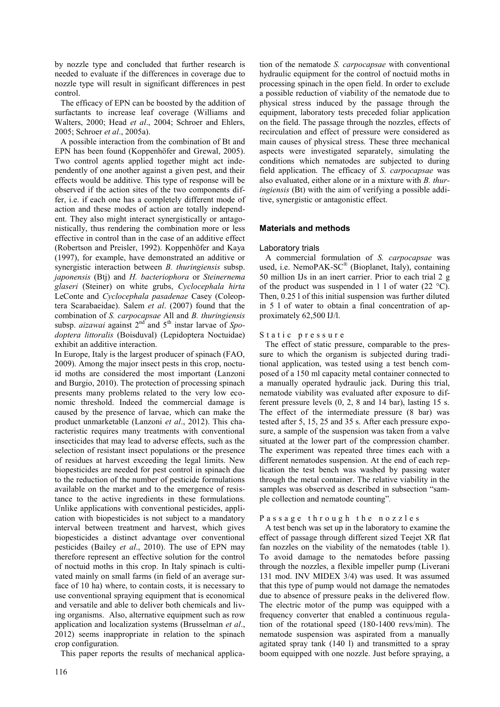by nozzle type and concluded that further research is needed to evaluate if the differences in coverage due to nozzle type will result in significant differences in pest control.

The efficacy of EPN can be boosted by the addition of surfactants to increase leaf coverage (Williams and Walters, 2000; Head *et al*., 2004; Schroer and Ehlers, 2005; Schroer *et al*., 2005a).

A possible interaction from the combination of Bt and EPN has been found (Koppenhöfer and Grewal, 2005). Two control agents applied together might act independently of one another against a given pest, and their effects would be additive. This type of response will be observed if the action sites of the two components differ, i.e. if each one has a completely different mode of action and these modes of action are totally independent. They also might interact synergistically or antagonistically, thus rendering the combination more or less effective in control than in the case of an additive effect (Robertson and Preisler, 1992). Koppenhöfer and Kaya (1997), for example, have demonstrated an additive or synergistic interaction between *B. thuringiensis* subsp. *japonensis* (Btj) and *H. bacteriophora* or *Steinernema glaseri* (Steiner) on white grubs, *Cyclocephala hirta* LeConte and *Cyclocephala pasadenae* Casey (Coleoptera Scarabaeidae). Salem *et al*. (2007) found that the combination of *S. carpocapsae* All and *B. thuringiensis* subsp. *aizawai* against 2<sup>nd</sup> and 5<sup>th</sup> instar larvae of *Spodoptera littoralis* (Boisduval) (Lepidoptera Noctuidae) exhibit an additive interaction.

In Europe, Italy is the largest producer of spinach (FAO, 2009). Among the major insect pests in this crop, noctuid moths are considered the most important (Lanzoni and Burgio, 2010). The protection of processing spinach presents many problems related to the very low economic threshold. Indeed the commercial damage is caused by the presence of larvae, which can make the product unmarketable (Lanzoni *et al*., 2012). This characteristic requires many treatments with conventional insecticides that may lead to adverse effects, such as the selection of resistant insect populations or the presence of residues at harvest exceeding the legal limits. New biopesticides are needed for pest control in spinach due to the reduction of the number of pesticide formulations available on the market and to the emergence of resistance to the active ingredients in these formulations. Unlike applications with conventional pesticides, application with biopesticides is not subject to a mandatory interval between treatment and harvest, which gives biopesticides a distinct advantage over conventional pesticides (Bailey *et al*., 2010). The use of EPN may therefore represent an effective solution for the control of noctuid moths in this crop. In Italy spinach is cultivated mainly on small farms (in field of an average surface of 10 ha) where, to contain costs, it is necessary to use conventional spraying equipment that is economical and versatile and able to deliver both chemicals and living organisms. Also, alternative equipment such as row application and localization systems (Brusselman *et al*., 2012) seems inappropriate in relation to the spinach crop configuration.

This paper reports the results of mechanical applica-

tion of the nematode *S. carpocapsae* with conventional hydraulic equipment for the control of noctuid moths in processing spinach in the open field. In order to exclude a possible reduction of viability of the nematode due to physical stress induced by the passage through the equipment, laboratory tests preceded foliar application on the field. The passage through the nozzles, effects of recirculation and effect of pressure were considered as main causes of physical stress. These three mechanical aspects were investigated separately, simulating the conditions which nematodes are subjected to during field application. The efficacy of *S. carpocapsae* was also evaluated, either alone or in a mixture with *B. thuringiensis* (Bt) with the aim of verifying a possible additive, synergistic or antagonistic effect.

# **Materials and methods**

#### Laboratory trials

A commercial formulation of *S. carpocapsae* was used, i.e. NemoPAK-SC® (Bioplanet, Italy), containing 50 million IJs in an inert carrier. Prior to each trial 2 g of the product was suspended in 1 l of water  $(22 \text{ °C})$ . Then, 0.25 l of this initial suspension was further diluted in 5 l of water to obtain a final concentration of approximately 62,500 IJ/l.

#### Static pressure

The effect of static pressure, comparable to the pressure to which the organism is subjected during traditional application, was tested using a test bench composed of a 150 ml capacity metal container connected to a manually operated hydraulic jack. During this trial, nematode viability was evaluated after exposure to different pressure levels (0, 2, 8 and 14 bar), lasting 15 s. The effect of the intermediate pressure (8 bar) was tested after 5, 15, 25 and 35 s. After each pressure exposure, a sample of the suspension was taken from a valve situated at the lower part of the compression chamber. The experiment was repeated three times each with a different nematodes suspension. At the end of each replication the test bench was washed by passing water through the metal container. The relative viability in the samples was observed as described in subsection "sample collection and nematode counting"*.*

#### Passage through the nozzles

A test bench was set up in the laboratory to examine the effect of passage through different sized Teejet XR flat fan nozzles on the viability of the nematodes (table 1). To avoid damage to the nematodes before passing through the nozzles, a flexible impeller pump (Liverani 131 mod. INV MIDEX 3/4) was used. It was assumed that this type of pump would not damage the nematodes due to absence of pressure peaks in the delivered flow. The electric motor of the pump was equipped with a frequency converter that enabled a continuous regulation of the rotational speed (180-1400 revs/min). The nematode suspension was aspirated from a manually agitated spray tank (140 l) and transmitted to a spray boom equipped with one nozzle. Just before spraying, a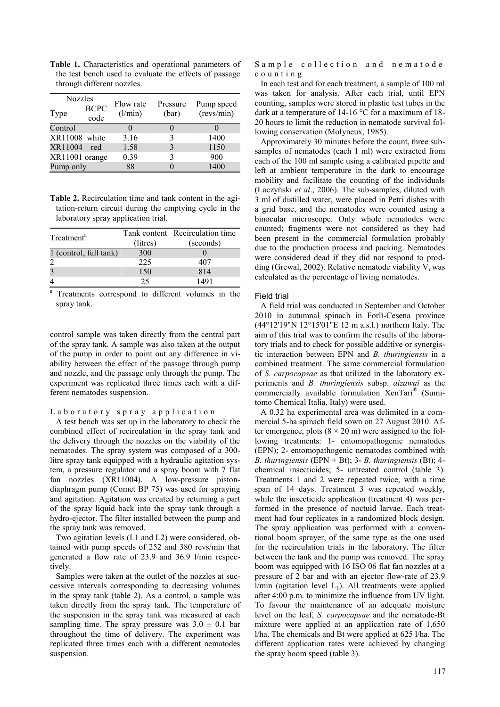**Table 1.** Characteristics and operational parameters of the test bench used to evaluate the effects of passage through different nozzles.

| <b>Nozzles</b> |                     | Flow rate | Pressure |                          |  |
|----------------|---------------------|-----------|----------|--------------------------|--|
| Type           | <b>BCPC</b><br>code | (l/min)   | (bar)    | Pump speed<br>(revs/min) |  |
| Control        |                     |           | 0        |                          |  |
| XR11008 white  |                     | 3.16      | 3        | 1400                     |  |
| XR11004        | red                 | 1.58      |          | 1150                     |  |
| XR11001 orange |                     | 0.39      | 3        | 900                      |  |
| Pump only      |                     | 88        |          | 1400                     |  |

**Table 2.** Recirculation time and tank content in the agitation-return circuit during the emptying cycle in the laboratory spray application trial.

| Treatment <sup>a</sup> | (litres) | Tank content Recirculation time<br>(seconds) |  |  |
|------------------------|----------|----------------------------------------------|--|--|
| 1 (control, full tank) | 300      |                                              |  |  |
|                        | 225      | 407                                          |  |  |
|                        | 150      | 814                                          |  |  |
|                        | 25       | 1491                                         |  |  |

a Treatments correspond to different volumes in the spray tank.

control sample was taken directly from the central part of the spray tank. A sample was also taken at the output of the pump in order to point out any difference in viability between the effect of the passage through pump and nozzle, and the passage only through the pump. The experiment was replicated three times each with a different nematodes suspension.

#### Laboratory spray application

A test bench was set up in the laboratory to check the combined effect of recirculation in the spray tank and the delivery through the nozzles on the viability of the nematodes. The spray system was composed of a 300 litre spray tank equipped with a hydraulic agitation system, a pressure regulator and a spray boom with 7 flat fan nozzles (XR11004). A low-pressure pistondiaphragm pump (Comet BP 75) was used for spraying and agitation. Agitation was created by returning a part of the spray liquid back into the spray tank through a hydro-ejector. The filter installed between the pump and the spray tank was removed.

Two agitation levels (L1 and L2) were considered, obtained with pump speeds of 252 and 380 revs/min that generated a flow rate of 23.9 and 36.9 l/min respectively.

Samples were taken at the outlet of the nozzles at successive intervals corresponding to decreasing volumes in the spray tank (table 2). As a control, a sample was taken directly from the spray tank. The temperature of the suspension in the spray tank was measured at each sampling time. The spray pressure was  $3.0 \pm 0.1$  bar throughout the time of delivery. The experiment was replicated three times each with a different nematodes suspension.

Sample collection and nematode c o u n t i n g

In each test and for each treatment, a sample of 100 ml was taken for analysis. After each trial, until EPN counting, samples were stored in plastic test tubes in the dark at a temperature of 14-16 °C for a maximum of 18- 20 hours to limit the reduction in nematode survival following conservation (Molyneux, 1985).

Approximately 30 minutes before the count, three subsamples of nematodes (each 1 ml) were extracted from each of the 100 ml sample using a calibrated pipette and left at ambient temperature in the dark to encourage mobility and facilitate the counting of the individuals (Łaczyński *et al*., 2006). The sub-samples, diluted with 3 ml of distilled water, were placed in Petri dishes with a grid base, and the nematodes were counted using a binocular microscope. Only whole nematodes were counted; fragments were not considered as they had been present in the commercial formulation probably due to the production process and packing. Nematodes were considered dead if they did not respond to prodding (Grewal, 2002). Relative nematode viability  $V<sub>r</sub>$  was calculated as the percentage of living nematodes.

#### Field trial

A field trial was conducted in September and October 2010 in autumnal spinach in Forlì-Cesena province (44°12'19"N 12°15'01"E 12 m a.s.l.) northern Italy. The aim of this trial was to confirm the results of the laboratory trials and to check for possible additive or synergistic interaction between EPN and *B. thuringiensis* in a combined treatment. The same commercial formulation of *S. carpocapsae* as that utilized in the laboratory experiments and *B. thuringiensis* subsp. *aizawai* as the commercially available formulation XenTari® (Sumitomo Chemical Italia, Italy) were used.

A 0.32 ha experimental area was delimited in a commercial 5-ha spinach field sown on 27 August 2010. After emergence, plots  $(8 \times 20 \text{ m})$  were assigned to the following treatments: 1- entomopathogenic nematodes (EPN); 2- entomopathogenic nematodes combined with *B. thuringiensis* (EPN + Bt); 3- *B. thuringiensis* (Bt); 4 chemical insecticides; 5- untreated control (table 3). Treatments 1 and 2 were repeated twice, with a time span of 14 days. Treatment 3 was repeated weekly, while the insecticide application (treatment 4) was performed in the presence of noctuid larvae. Each treatment had four replicates in a randomized block design. The spray application was performed with a conventional boom sprayer, of the same type as the one used for the recirculation trials in the laboratory. The filter between the tank and the pump was removed. The spray boom was equipped with 16 ISO 06 flat fan nozzles at a pressure of 2 bar and with an ejector flow-rate of 23.9  $l/min$  (agitation level  $L_1$ ). All treatments were applied after 4:00 p.m. to minimize the influence from UV light. To favour the maintenance of an adequate moisture level on the leaf, *S. carpocapsae* and the nematode-Bt mixture were applied at an application rate of 1,650 l/ha. The chemicals and Bt were applied at 625 l/ha. The different application rates were achieved by changing the spray boom speed (table 3).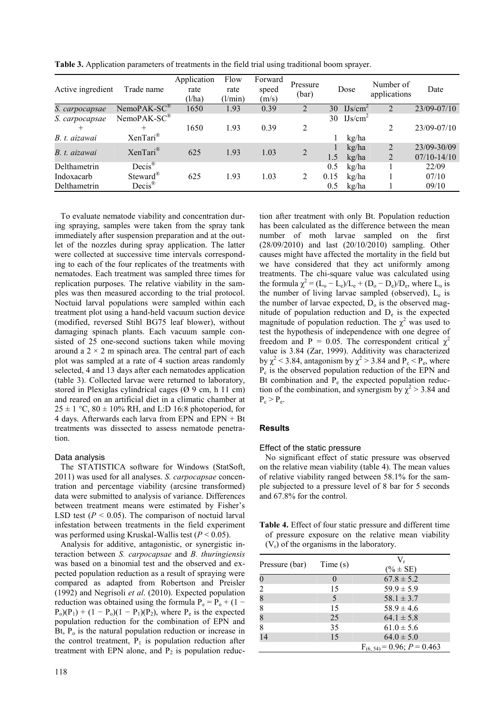| Active ingredient | Trade name               | Application<br>rate<br>(l/ha) | Flow<br>rate<br>(l/min) | Forward<br>speed<br>(m/s) | Pressure<br>(bar) |      | Dose                | Number of<br>applications | Date            |
|-------------------|--------------------------|-------------------------------|-------------------------|---------------------------|-------------------|------|---------------------|---------------------------|-----------------|
| S. carpocapsae    | $NemoPAK-SC^{\otimes}$   | 1650                          | 1.93                    | 0.39                      | 2                 | 30   | IJs/cm <sup>2</sup> | $\overline{2}$            | 23/09-07/10     |
| S. carpocapsae    | $NemoPAK-SC^{\circledR}$ |                               |                         |                           |                   |      | 30 $IJs/cm^2$       |                           |                 |
| $^{+}$            | $^{+}$                   | 1650                          | 1.93                    | 0.39                      | 2                 |      |                     | 2                         | 23/09-07/10     |
| B. t. aizawai     | XenTari®                 |                               |                         |                           |                   |      | kg/ha               |                           |                 |
| B. t. aizawai     | XenTari®                 | 625                           | 1.93                    | 1.03                      | $\overline{2}$    |      | kg/ha               | 2                         | 23/09-30/09     |
|                   |                          |                               |                         |                           |                   | 1.5  | kg/ha               | 2                         | $07/10 - 14/10$ |
| Delthametrin      | $Decis^{\circledR}$      |                               |                         |                           |                   | 0.5  | kg/ha               |                           | 22/09           |
| Indoxacarb        | Steward <sup>®</sup>     | 625                           | 1.93                    | 1.03                      | 2                 | 0.15 | kg/ha               |                           | 07/10           |
| Delthametrin      | $Decis^{\circledR}$      |                               |                         |                           |                   | 0.5  | kg/ha               |                           | 09/10           |

**Table 3.** Application parameters of treatments in the field trial using traditional boom sprayer.

To evaluate nematode viability and concentration during spraying, samples were taken from the spray tank immediately after suspension preparation and at the outlet of the nozzles during spray application. The latter were collected at successive time intervals corresponding to each of the four replicates of the treatments with nematodes. Each treatment was sampled three times for replication purposes. The relative viability in the samples was then measured according to the trial protocol. Noctuid larval populations were sampled within each treatment plot using a hand-held vacuum suction device (modified, reversed Stihl BG75 leaf blower), without damaging spinach plants. Each vacuum sample consisted of 25 one-second suctions taken while moving around a  $2 \times 2$  m spinach area. The central part of each plot was sampled at a rate of 4 suction areas randomly selected, 4 and 13 days after each nematodes application (table 3). Collected larvae were returned to laboratory, stored in Plexiglas cylindrical cages (Ø 9 cm, h 11 cm) and reared on an artificial diet in a climatic chamber at  $25 \pm 1$  °C,  $80 \pm 10\%$  RH, and L:D 16:8 photoperiod, for 4 days. Afterwards each larva from EPN and EPN + Bt treatments was dissected to assess nematode penetration.

#### Data analysis

The STATISTICA software for Windows (StatSoft, 2011) was used for all analyses. *S. carpocapsae* concentration and percentage viability (arcsine transformed) data were submitted to analysis of variance. Differences between treatment means were estimated by Fisher's LSD test  $(P < 0.05)$ . The comparison of noctuid larval infestation between treatments in the field experiment was performed using Kruskal-Wallis test (*P* < 0.05).

Analysis for additive, antagonistic, or synergistic interaction between *S. carpocapsae* and *B. thuringiensis*  was based on a binomial test and the observed and expected population reduction as a result of spraying were compared as adapted from Robertson and Preisler (1992) and Negrisoli *et al*. (2010). Expected population reduction was obtained using the formula  $P_e = P_o + (1 P_o(P_1) + (1 - P_o)(1 - P_1)(P_2)$ , where  $P_e$  is the expected population reduction for the combination of EPN and Bt,  $P_0$  is the natural population reduction or increase in the control treatment,  $P_1$  is population reduction after treatment with EPN alone, and  $P_2$  is population reduc-

tion after treatment with only Bt. Population reduction has been calculated as the difference between the mean number of moth larvae sampled on the first (28/09/2010) and last (20/10/2010) sampling. Other causes might have affected the mortality in the field but we have considered that they act uniformly among treatments. The chi-square value was calculated using the formula  $\chi^2 = (L_o - L_e)/L_e + (D_o - D_e)/D_e$ , where  $L_o$  is the number of living larvae sampled (observed), L<sup>e</sup> is the number of larvae expected,  $D_0$  is the observed magnitude of population reduction and  $D_e$  is the expected magnitude of population reduction. The  $\chi^2$  was used to test the hypothesis of independence with one degree of freedom and P = 0.05. The correspondent critical  $\gamma^2$ value is 3.84 (Zar, 1999). Additivity was characterized by  $\chi^2$  < 3.84, antagonism by  $\chi^2$  > 3.84 and P<sub>c</sub> < P<sub>e</sub>, where Pc is the observed population reduction of the EPN and Bt combination and  $P_e$  the expected population reduction of the combination, and synergism by  $\chi^2$  > 3.84 and  $P_c > P_e$ .

#### **Results**

#### Effect of the static pressure

No significant effect of static pressure was observed on the relative mean viability (table 4). The mean values of relative viability ranged between 58.1% for the sample subjected to a pressure level of 8 bar for 5 seconds and 67.8% for the control.

**Table 4.** Effect of four static pressure and different time of pressure exposure on the relative mean viability  $(V_r)$  of the organisms in the laboratory.

| Pressure (bar)   | Time(s) | V,<br>$(\% \pm SE)$                |
|------------------|---------|------------------------------------|
| $\boldsymbol{0}$ |         | $67.8 \pm 5.2$                     |
| 2                | 15      | $59.9 \pm 5.9$                     |
| 8                | 5       | $58.1 \pm 3.7$                     |
| 8                | 15      | $58.9 \pm 4.6$                     |
| 8                | 25      | $64.1 \pm 5.8$                     |
| 8                | 35      | $61.0 \pm 5.6$                     |
| 14               | 15      | $64.0 \pm 5.0$                     |
|                  |         | $F_{(6, 54)} = 0.96$ ; $P = 0.463$ |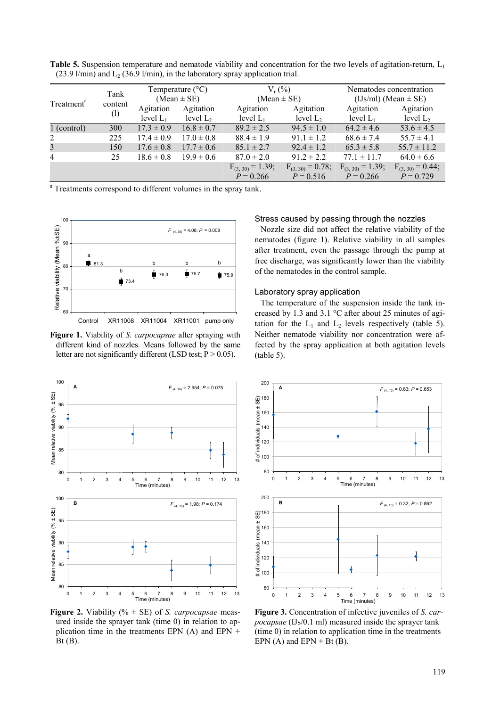| Treatment <sup>a</sup>  | Tank<br>content            | Temperature $(^{\circ}C)$<br>(Mean $\pm$ SE) |                | $V_r$ (%)<br>(Mean $\pm$ SE)        |                                     | Nematodes concentration<br>$(IJs/ml)$ (Mean $\pm$ SE) |                                     |
|-------------------------|----------------------------|----------------------------------------------|----------------|-------------------------------------|-------------------------------------|-------------------------------------------------------|-------------------------------------|
|                         |                            | Agitation                                    | Agitation      | Agitation                           | Agitation                           | Agitation                                             | Agitation                           |
|                         | $\left( \mathbf{l}\right)$ | level $L_1$                                  | level $L_2$    | level $L_1$                         | level $L_2$                         | level $L_1$                                           | level $L_2$                         |
| 1 (control)             | 300                        | $17.3 \pm 0.9$                               | $16.8 \pm 0.7$ | $89.2 \pm 2.5$                      | $94.5 \pm 1.0$                      | $64.2 \pm 4.6$                                        | $53.6 \pm 4.5$                      |
| 2                       | 225                        | $17.4 \pm 0.9$                               | $17.0 \pm 0.8$ | $88.4 \pm 1.9$                      | $91.1 \pm 1.2$                      | $68.6 \pm 7.4$                                        | $55.7 \pm 4.1$                      |
| $\overline{\mathbf{3}}$ | 150                        | $17.6 \pm 0.8$                               | $17.7 \pm 0.6$ | $85.1 \pm 2.7$                      | $92.4 \pm 1.2$                      | $65.3 \pm 5.8$                                        | $55.7 \pm 11.2$                     |
| $\overline{4}$          | 25                         | $18.6 \pm 0.8$                               | $19.9 \pm 0.6$ | $87.0 \pm 2.0$                      | $91.2 \pm 2.2$                      | $77.1 \pm 11.7$                                       | $64.0 \pm 6.6$                      |
|                         |                            |                                              |                | $F_{(3,30)} = 1.39;$<br>$P = 0.266$ | $F_{(3,30)} = 0.78;$<br>$P = 0.516$ | $F_{(3,30)} = 1.39;$<br>$P = 0.266$                   | $F_{(3,30)} = 0.44;$<br>$P = 0.729$ |
|                         |                            |                                              |                |                                     |                                     |                                                       |                                     |

**Table 5.** Suspension temperature and nematode viability and concentration for the two levels of agitation-return, L<sub>1</sub> (23.9 l/min) and  $L_2$  (36.9 l/min), in the laboratory spray application trial.

<sup>a</sup> Treatments correspond to different volumes in the spray tank.



**Figure 1.** Viability of *S. carpocapsae* after spraying with different kind of nozzles. Means followed by the same letter are not significantly different (LSD test;  $P > 0.05$ ).



**Figure 2.** Viability (% ± SE) of *S. carpocapsae* measured inside the sprayer tank (time 0) in relation to application time in the treatments EPN  $(A)$  and EPN  $+$  $Bt(B)$ .

#### Stress caused by passing through the nozzles

Nozzle size did not affect the relative viability of the nematodes (figure 1). Relative viability in all samples after treatment, even the passage through the pump at free discharge, was significantly lower than the viability of the nematodes in the control sample.

# Laboratory spray application

The temperature of the suspension inside the tank increased by 1.3 and 3.1 °C after about 25 minutes of agitation for the  $L_1$  and  $L_2$  levels respectively (table 5). Neither nematode viability nor concentration were affected by the spray application at both agitation levels (table 5).



**Figure 3.** Concentration of infective juveniles of *S. carpocapsae* (IJs/0.1 ml) measured inside the sprayer tank (time 0) in relation to application time in the treatments EPN  $(A)$  and EPN + Bt $(B)$ .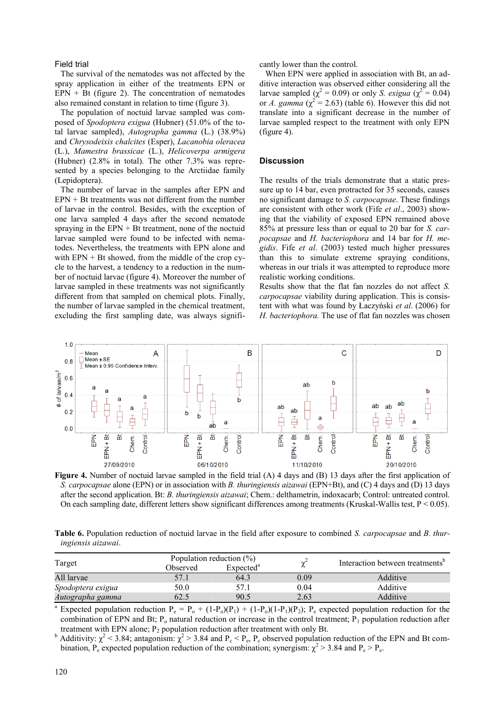#### Field trial

The survival of the nematodes was not affected by the spray application in either of the treatments EPN or  $EPN + Bt$  (figure 2). The concentration of nematodes also remained constant in relation to time (figure 3).

The population of noctuid larvae sampled was composed of *Spodoptera exigua* (Hubner) (51.0% of the total larvae sampled), *Autographa gamma* (L.) (38.9%) and *Chrysodeixis chalcites* (Esper), *Lacanobia oleracea* (L.), *Mamestra brassicae* (L.), *Helicoverpa armigera* (Hubner) (2.8% in total). The other 7.3% was represented by a species belonging to the Arctiidae family (Lepidoptera).

The number of larvae in the samples after EPN and  $EPN + Bt$  treatments was not different from the number of larvae in the control. Besides, with the exception of one larva sampled 4 days after the second nematode spraying in the  $EPN + Bt$  treatment, none of the noctuid larvae sampled were found to be infected with nematodes. Nevertheless, the treatments with EPN alone and with  $EPN + Bt$  showed, from the middle of the crop cycle to the harvest, a tendency to a reduction in the number of noctuid larvae (figure 4). Moreover the number of larvae sampled in these treatments was not significantly different from that sampled on chemical plots. Finally, the number of larvae sampled in the chemical treatment, excluding the first sampling date, was always significantly lower than the control.

When EPN were applied in association with Bt, an additive interaction was observed either considering all the larvae sampled ( $\chi^2 = 0.09$ ) or only *S. exigua* ( $\chi^2 = 0.04$ ) or *A. gamma*  $(\chi^2 = 2.63)$  (table 6). However this did not translate into a significant decrease in the number of larvae sampled respect to the treatment with only EPN (figure 4).

# **Discussion**

The results of the trials demonstrate that a static pressure up to 14 bar, even protracted for 35 seconds, causes no significant damage to *S. carpocapsae*. These findings are consistent with other work (Fife *et al*., 2003) showing that the viability of exposed EPN remained above 85% at pressure less than or equal to 20 bar for *S. carpocapsae* and *H. bacteriophora* and 14 bar for *H. megidis*. Fife *et al*. (2003) tested much higher pressures than this to simulate extreme spraying conditions, whereas in our trials it was attempted to reproduce more realistic working conditions.

Results show that the flat fan nozzles do not affect *S. carpocapsae* viability during application. This is consistent with what was found by Łaczyński *et al*. (2006) for *H. bacteriophora.* The use of flat fan nozzles was chosen



**Figure 4.** Number of noctuid larvae sampled in the field trial (A) 4 days and (B) 13 days after the first application of *S. carpocapsae* alone (EPN) or in association with *B. thuringiensis aizawai* (EPN+Bt), and (C) 4 days and (D) 13 days after the second application. Bt: *B. thuringiensis aizawai*; Chem.: delthametrin, indoxacarb; Control: untreated control. On each sampling date, different letters show significant differences among treatments (Kruskal-Wallis test,  $P < 0.05$ ).

**Table 6.** Population reduction of noctuid larvae in the field after exposure to combined *S. carpocapsae* and *B. thuringiensis aizawai*.

| Target            |          | Population reduction $(\% )$ |      | Interaction between treatments <sup>o</sup> |  |
|-------------------|----------|------------------------------|------|---------------------------------------------|--|
|                   | Observed | Expected <sup>a</sup>        |      |                                             |  |
| All larvae        | 57.1     | 64.3                         | 0.09 | Additive                                    |  |
| Spodoptera exigua | 50.0     | 57.1                         | 0.04 | Additive                                    |  |
| Autographa gamma  | 62.5     | 90.5                         | 2.63 | Additive                                    |  |

<sup>a</sup> Expected population reduction  $P_e = P_o + (1-P_o)(P_1) + (1-P_o)(1-P_1)(P_2)$ ;  $P_e$  expected population reduction for the combination of EPN and Bt;  $P_0$  natural reduction or increase in the control treatment;  $P_1$  population reduction after treatment with EPN alone;  $P_2$  population reduction after treatment with only Bt.

<sup>b</sup> Additivity:  $\chi^2$  < 3.84; antagonism:  $\chi^2$  > 3.84 and P<sub>c</sub> < P<sub>e</sub>, P<sub>c</sub> observed population reduction of the EPN and Bt combination,  $P_e$  expected population reduction of the combination; synergism:  $\chi^2 > 3.84$  and  $P_c > P_e$ .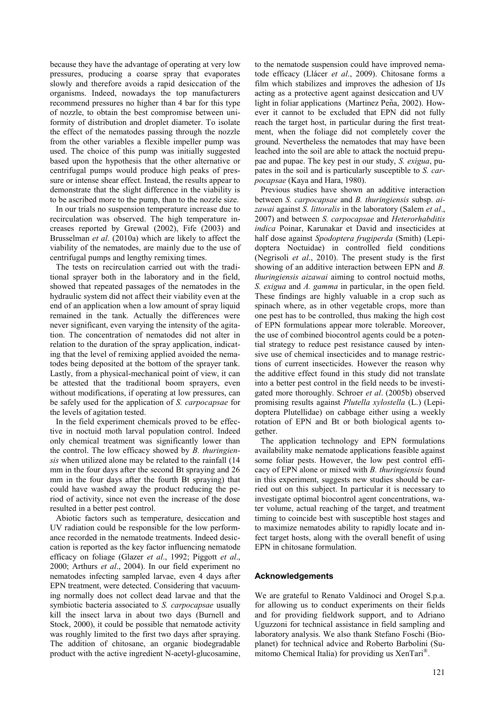because they have the advantage of operating at very low pressures, producing a coarse spray that evaporates slowly and therefore avoids a rapid desiccation of the organisms. Indeed, nowadays the top manufacturers recommend pressures no higher than 4 bar for this type of nozzle, to obtain the best compromise between uniformity of distribution and droplet diameter. To isolate the effect of the nematodes passing through the nozzle from the other variables a flexible impeller pump was used. The choice of this pump was initially suggested based upon the hypothesis that the other alternative or centrifugal pumps would produce high peaks of pressure or intense shear effect. Instead, the results appear to demonstrate that the slight difference in the viability is to be ascribed more to the pump, than to the nozzle size.

In our trials no suspension temperature increase due to recirculation was observed. The high temperature increases reported by Grewal (2002), Fife (2003) and Brusselman *et al*. (2010a) which are likely to affect the viability of the nematodes, are mainly due to the use of centrifugal pumps and lengthy remixing times.

The tests on recirculation carried out with the traditional sprayer both in the laboratory and in the field, showed that repeated passages of the nematodes in the hydraulic system did not affect their viability even at the end of an application when a low amount of spray liquid remained in the tank. Actually the differences were never significant, even varying the intensity of the agitation. The concentration of nematodes did not alter in relation to the duration of the spray application, indicating that the level of remixing applied avoided the nematodes being deposited at the bottom of the sprayer tank. Lastly, from a physical-mechanical point of view, it can be attested that the traditional boom sprayers, even without modifications, if operating at low pressures, can be safely used for the application of *S. carpocapsae* for the levels of agitation tested.

In the field experiment chemicals proved to be effective in noctuid moth larval population control. Indeed only chemical treatment was significantly lower than the control. The low efficacy showed by *B. thuringiensis* when utilized alone may be related to the rainfall (14 mm in the four days after the second Bt spraying and 26 mm in the four days after the fourth Bt spraying) that could have washed away the product reducing the period of activity, since not even the increase of the dose resulted in a better pest control.

Abiotic factors such as temperature, desiccation and UV radiation could be responsible for the low performance recorded in the nematode treatments. Indeed desiccation is reported as the key factor influencing nematode efficacy on foliage (Glazer *et al*., 1992; Piggott *et al*., 2000; Arthurs *et al*., 2004). In our field experiment no nematodes infecting sampled larvae, even 4 days after EPN treatment, were detected. Considering that vacuuming normally does not collect dead larvae and that the symbiotic bacteria associated to *S. carpocapsae* usually kill the insect larva in about two days (Burnell and Stock, 2000), it could be possible that nematode activity was roughly limited to the first two days after spraying. The addition of chitosane, an organic biodegradable product with the active ingredient N-acetyl-glucosamine,

to the nematode suspension could have improved nematode efficacy (Llácer *et al*., 2009). Chitosane forms a film which stabilizes and improves the adhesion of IJs acting as a protective agent against desiccation and UV light in foliar applications (Martinez Peña, 2002). However it cannot to be excluded that EPN did not fully reach the target host, in particular during the first treatment, when the foliage did not completely cover the ground. Nevertheless the nematodes that may have been leached into the soil are able to attack the noctuid prepupae and pupae. The key pest in our study, *S. exigua*, pupates in the soil and is particularly susceptible to *S. carpocapsae* (Kaya and Hara, 1980).

Previous studies have shown an additive interaction between *S. carpocapsae* and *B. thuringiensis* subsp. *aizawai* against *S. littoralis* in the laboratory (Salem *et al*., 2007) and between *S. carpocapsae* and *Heterorhabditis indica* Poinar, Karunakar et David and insecticides at half dose against *Spodoptera frugiperda* (Smith) (Lepidoptera Noctuidae) in controlled field conditions (Negrisoli *et al*., 2010). The present study is the first showing of an additive interaction between EPN and *B. thuringiensis aizawai* aiming to control noctuid moths, *S. exigua* and *A. gamma* in particular, in the open field. These findings are highly valuable in a crop such as spinach where, as in other vegetable crops, more than one pest has to be controlled, thus making the high cost of EPN formulations appear more tolerable. Moreover, the use of combined biocontrol agents could be a potential strategy to reduce pest resistance caused by intensive use of chemical insecticides and to manage restrictions of current insecticides. However the reason why the additive effect found in this study did not translate into a better pest control in the field needs to be investigated more thoroughly. Schroer *et al*. (2005b) observed promising results against *Plutella xylostella* (L.) (Lepidoptera Plutellidae) on cabbage either using a weekly rotation of EPN and Bt or both biological agents together.

The application technology and EPN formulations availability make nematode applications feasible against some foliar pests. However, the low pest control efficacy of EPN alone or mixed with *B. thuringiensis* found in this experiment, suggests new studies should be carried out on this subject. In particular it is necessary to investigate optimal biocontrol agent concentrations, water volume, actual reaching of the target, and treatment timing to coincide best with susceptible host stages and to maximize nematodes ability to rapidly locate and infect target hosts, along with the overall benefit of using EPN in chitosane formulation.

#### **Acknowledgements**

We are grateful to Renato Valdinoci and Orogel S.p.a. for allowing us to conduct experiments on their fields and for providing fieldwork support, and to Adriano Uguzzoni for technical assistance in field sampling and laboratory analysis. We also thank Stefano Foschi (Bioplanet) for technical advice and Roberto Barbolini (Sumitomo Chemical Italia) for providing us XenTari® .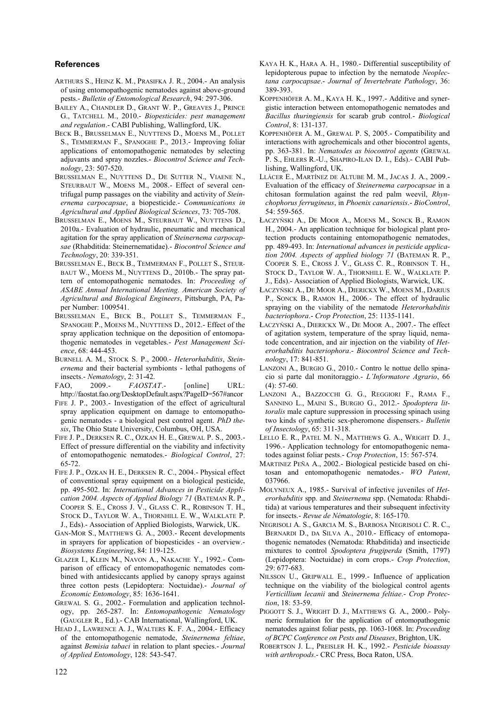#### **References**

- ARTHURS S., HEINZ K. M., PRASIFKA J. R., 2004.- An analysis of using entomopathogenic nematodes against above-ground pests.- *Bulletin of Entomological Research*, 94: 297-306.
- BAILEY A., CHANDLER D., GRANT W. P., GREAVES J., PRINCE G., TATCHELL M., 2010.- *Biopesticides: pest management and regulation*.- CABI Publishing, Wallingford, UK.
- BECK B., BRUSSELMAN E., NUYTTENS D., MOENS M., POLLET S., TEMMERMAN F., SPANOGHE P., 2013.- Improving foliar applications of entomopathogenic nematodes by selecting adjuvants and spray nozzles.- *Biocontrol Science and Technology*, 23: 507-520.
- BRUSSELMAN E., NUYTTENS D., DE SUTTER N., VIAENE N., STEURBAUT W., MOENS M., 2008.- Effect of several centrifugal pump passages on the viability and activity of *Steinernema carpocapsae*, a biopesticide.- *Communications in Agricultural and Applied Biological Sciences*, 73: 705-708.
- BRUSSELMAN E., MOENS M., STEURBAUT W., NUYTTENS D., 2010a.- Evaluation of hydraulic, pneumatic and mechanical agitation for the spray application of *Steinernema carpocapsae* (Rhabditida: Steinernematidae).- *Biocontrol Science and Technology*, 20: 339-351.
- BRUSSELMAN E., BECK B., TEMMERMAN F., POLLET S., STEUR-BAUT W., MOENS M., NUYTTENS D., 2010b.- The spray pattern of entomopathogenic nematodes. In: *Proceeding of ASABE Annual International Meeting. American Society of Agricultural and Biological Engineers*, Pittsburgh, PA, Paper Number: 1009541.
- BRUSSELMAN E., BECK B., POLLET S., TEMMERMAN F., SPANOGHE P., MOENS M., NUYTTENS D., 2012.- Effect of the spray application technique on the deposition of entomopathogenic nematodes in vegetables.- *Pest Management Science*, 68: 444-453.
- BURNELL A. M., STOCK S. P., 2000.- *Heterorhabditis*, *Steinernema* and their bacterial symbionts - lethal pathogens of insects.- *Nematology*, 2: 31-42.
- FAO, 2009.- *FAOSTAT*.- [online] URL: http://faostat.fao.org/DesktopDefault.aspx?PageID=567#ancor
- FIFE J. P., 2003.- Investigation of the effect of agricultural spray application equipment on damage to entomopathogenic nematodes - a biological pest control agent. *PhD thesis*, The Ohio State University, Columbus, OH, USA.
- FIFE J. P., DERKSEN R. C., OZKAN H. E., GREWAL P. S., 2003.- Effect of pressure differential on the viability and infectivity of entomopathogenic nematodes.- *Biological Control*, 27: 65-72.
- FIFE J. P., OZKAN H. E., DERKSEN R. C., 2004.- Physical effect of conventional spray equipment on a biological pesticide, pp. 495-502. In: *International Advances in Pesticide Application 2004. Aspects of Applied Biology 71* (BATEMAN R. P., COOPER S. E., CROSS J. V., GLASS C. R., ROBINSON T. H., STOCK D., TAYLOR W. A., THORNHILL E. W., WALKLATE P. J., Eds).- Association of Applied Biologists, Warwick, UK.
- GAN-MOR S., MATTHEWS G. A., 2003.- Recent developments in sprayers for application of biopesticides - an overview.- *Biosystems Engineering*, 84: 119-125.
- GLAZER I., KLEIN M., NAVON A., NAKACHE Y., 1992.- Comparison of efficacy of entomopathogenic nematodes combined with antidesiccants applied by canopy sprays against three cotton pests (Lepidoptera: Noctuidae).- *Journal of Economic Entomology*, 85: 1636-1641.
- GREWAL S. G., 2002.- Formulation and application technology, pp. 265-287. In: *Entomopathogenic Nematology* (GAUGLER R., Ed.).- CAB International, Wallingford, UK.
- HEAD J., LAWRENCE A. J., WALTERS K. F. A., 2004.- Efficacy of the entomopathogenic nematode, *Steinernema feltiae*, against *Bemisia tabaci* in relation to plant species.- *Journal of Applied Entomology*, 128: 543-547.
- KAYA H. K., HARA A. H., 1980.- Differential susceptibility of lepidopterous pupae to infection by the nematode *Neoplectana carpocapsae*.- *Journal of Invertebrate Pathology*, 36: 389-393.
- KOPPENHÖFER A. M., KAYA H. K., 1997.- Additive and synergistic interaction between entomopathogenic nematodes and *Bacillus thuringiensis* for scarab grub control.- *Biological Control*, 8: 131-137.
- KOPPENHÖFER A. M., GREWAL P. S, 2005.- Compatibility and interactions with agrochemicals and other biocontrol agents, pp. 363-381. In: *Nematodes as biocontrol agents* (GREWAL P. S., EHLERS R.-U., SHAPIRO-ILAN D. I., Eds).- CABI Publishing, Wallingford, UK.
- LLÁCER E., MARTÍNEZ DE ALTUBE M. M., JACAS J. A., 2009.- Evaluation of the efficacy of *Steinernema carpocapsae* in a chitosan formulation against the red palm weevil, *Rhynchophorus ferrugineus*, in *Phoenix canariensis*.- *BioControl*, 54: 559-565.
- ŁACZYŃSKI A., DE MOOR A., MOENS M., SONCK B., RAMON H., 2004.- An application technique for biological plant protection products containing entomopathogenic nematodes, pp. 489-493. In: *International advances in pesticide application 2004. Aspects of applied biology 71* (BATEMAN R. P., COOPER S. E., CROSS J. V., GLASS C. R., ROBINSON T. H., STOCK D., TAYLOR W. A., THORNHILL E. W., WALKLATE P. J., Eds).- Association of Applied Biologists, Warwick, UK.
- ŁACZYŃSKI A., DE MOOR A., DIERICKX W., MOENS M., DARIUS P., SONCK B., RAMON H., 2006.- The effect of hydraulic spraying on the viability of the nematode *Heterorhabditis bacteriophora*.- *Crop Protection*, 25: 1135-1141.
- ŁACZYŃSKI A., DIERICKX W., DE MOOR A., 2007.- The effect of agitation system, temperature of the spray liquid, nematode concentration, and air injection on the viability of *Heterorhabditis bacteriophora*.- *Biocontrol Science and Technology*, 17: 841-851.
- LANZONI A., BURGIO G., 2010.- Contro le nottue dello spinacio si parte dal monitoraggio.- *L'Informatore Agrario*, 66  $(4)$ : 57-60.
- LANZONI A., BAZZOCCHI G. G., REGGIORI F., RAMA F., SANNINO L., MAINI S., BURGIO G., 2012.- *Spodoptera littoralis* male capture suppression in processing spinach using two kinds of synthetic sex-pheromone dispensers.- *Bulletin of Insectology*, 65: 311-318.
- LELLO E. R., PATEL M. N., MATTHEWS G. A., WRIGHT D. J., 1996.- Application technology for entomopathogenic nematodes against foliar pests.- *Crop Protection*, 15: 567-574.
- MARTINEZ PEÑA A., 2002.- Biological pesticide based on chitosan and entomopathogenic nematodes.- *WO Patent*, 037966.
- MOLYNEUX A., 1985.- Survival of infective juveniles of *Heterorhabditis* spp. and *Steinernema* spp. (Nematoda: Rhabditida) at various temperatures and their subsequent infectivity for insects.- *Revue de Nématologie*, 8: 165-170.
- NEGRISOLI A. S., GARCIA M. S., BARBOSA NEGRISOLI C. R. C., BERNARDI D., DA SILVA A., 2010.- Efficacy of entomopathogenic nematodes (Nematoda: Rhabditida) and insecticide mixtures to control *Spodoptera frugiperda* (Smith, 1797) (Lepidoptera: Noctuidae) in corn crops.- *Crop Protection*, 29: 677-683.
- NILSSON U., GRIPWALL E., 1999.- Influence of application technique on the viability of the biological control agents *Verticillium lecanii* and *Steinernema feltiae*.- *Crop Protection*, 18: 53-59.
- PIGGOTT S. J., WRIGHT D. J., MATTHEWS G. A., 2000.- Polymeric formulation for the application of entomopathogenic nematodes against foliar pests, pp. 1063-1068. In: *Proceeding of BCPC Conference on Pests and Diseases*, Brighton, UK.
- ROBERTSON J. L., PREISLER H. K., 1992.- *Pesticide bioassay with arthropods*.- CRC Press, Boca Raton, USA.